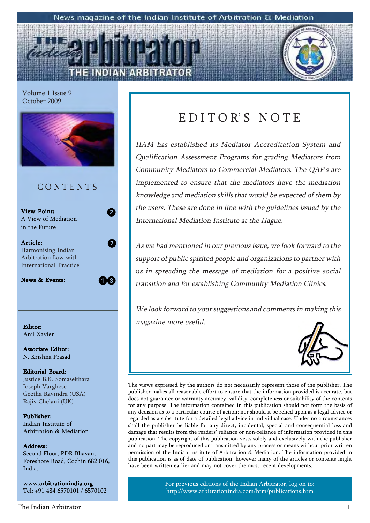#### News magazine of the Indian Institute of Arbitration & Mediation



Volume 1 Issue 9 October 2009



### C O N T E N T S

View Point: A View of Mediation in the Future

Article: Harmonising Indian Arbitration Law with International Practice

News & Events:

13

2

 $\overline{7}$ 

Anil Xavier

Associate Editor: N. Krishna Prasad

#### Editorial Board: Justice B.K. Somasekhara Joseph Varghese Geetha Ravindra (USA) Rajiv Chelani (UK)

Publisher: Indian Institute of Arbitration & Mediation

#### Address: Address:

Second Floor, PDR Bhavan, Foreshore Road, Cochin 682 016, India.

www.arbitrationindia.org Tel: +91 484 6570101 / 6570102

#### The Indian Arbitrator 1

### EDITOR'S NOTE

IIAM has established its Mediator Accreditation System and Qualification Assessment Programs for grading Mediators from Community Mediators to Commercial Mediators. The QAP's are implemented to ensure that the mediators have the mediation knowledge and mediation skills that would be expected of them by the users. These are done in line with the guidelines issued by the International Mediation Institute at the Hague.

As we had mentioned in our previous issue, we look forward to the support of public spirited people and organizations to partner with us in spreading the message of mediation for a positive social transition and for establishing Community Mediation Clinics.

We look forward to your suggestions and comments in making this **Editor:** Editor: Editor: Editor: Editor: Editor: Editor: Editor: Editor: Editor: Editor: Editor: Editor: Editor: Editor: Editor: Editor: Editor: Editor: Editor: Editor: Editor: Editor: Editor: Editor: Editor: Editor: Edit



The views expressed by the authors do not necessarily represent those of the publisher. The publisher makes all reasonable effort to ensure that the information provided is accurate, but does not guarantee or warranty accuracy, validity, completeness or suitability of the contents for any purpose. The information contained in this publication should not form the basis of any decision as to a particular course of action; nor should it be relied upon as a legal advice or regarded as a substitute for a detailed legal advice in individual case. Under no circumstances shall the publisher be liable for any direct, incidental, special and consequential loss and damage that results from the readers' reliance or non-reliance of information provided in this publication. The copyright of this publication vests solely and exclusively with the publisher and no part may be reproduced or transmitted by any process or means without prior written permission of the Indian Institute of Arbitration & Mediation. The information provided in this publication is as of date of publication, however many of the articles or contents might have been written earlier and may not cover the most recent developments.

> For previous editions of the Indian Arbitrator, log on to: http://www.arbitrationindia.com/htm/publications.htm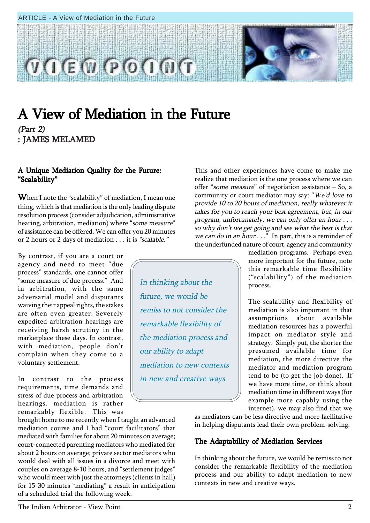#### ARTICLE - A View of Mediation in the Future



In thinking about the

future, we would be

our ability to adapt

remiss to not consider the

remarkable flexibility of

the mediation process and

mediation to new contexts

in new and creative ways

### A View of Mediation in the Future (Part 2)

: JAMES MELAMED

#### A Unique Mediation Quality for the Future: "Scalability"

**When I note the "scalability" of mediation, I mean one** thing, which is that mediation is the only leading dispute resolution process (consider adjudication, administrative hearing, arbitration, mediation) where "some measure" of assistance can be offered. We can offer you 20 minutes or 2 hours or 2 days of mediation . . . it is "scalable."

By contrast, if you are a court or agency and need to meet "due process" standards, one cannot offer "some measure of due process." And in arbitration, with the same adversarial model and disputants waiving their appeal rights, the stakes are often even greater. Severely expedited arbitration hearings are receiving harsh scrutiny in the marketplace these days. In contrast, with mediation, people don't complain when they come to a voluntary settlement.

In contrast to the process requirements, time demands and stress of due process and arbitration hearings, mediation is rather remarkably flexible. This was

brought home to me recently when I taught an advanced mediation course and I had "court facilitators" that mediated with families for about 20 minutes on average; court-connected parenting mediators who mediated for about 2 hours on average; private sector mediators who would deal with all issues in a divorce and meet with couples on average 8-10 hours, and "settlement judges" who would meet with just the attorneys (clients in hall) for 15-30 minutes "mediating" a result in anticipation of a scheduled trial the following week.

This and other experiences have come to make me realize that mediation is the one process where we can offer "some measure" of negotiation assistance  $-$  So, a community or court mediator may say: "We'd love to provide 10 to 20 hours of mediation, really whatever it takes for you to reach your best agreement, but, in our program, unfortunately, we can only offer an hour . . . so why don't we get going and see what the best is that we can do in an hour  $\ldots$ ." In part, this is a reminder of the underfunded nature of court, agency and community

mediation programs. Perhaps even more important for the future, note this remarkable time flexibility  $("scalability")$  of the mediation process.

The scalability and flexibility of mediation is also important in that assumptions about available mediation resources has a powerful impact on mediator style and strategy. Simply put, the shorter the presumed available time for mediation, the more directive the mediator and mediation program tend to be (to get the job done). If we have more time, or think about mediation time in different ways (for example more capably using the internet), we may also find that we

as mediators can be less directive and more facilitative in helping disputants lead their own problem-solving.

#### The Adaptability of Mediation Services

In thinking about the future, we would be remiss to not consider the remarkable flexibility of the mediation process and our ability to adapt mediation to new contexts in new and creative ways.

The Indian Arbitrator - View Point 2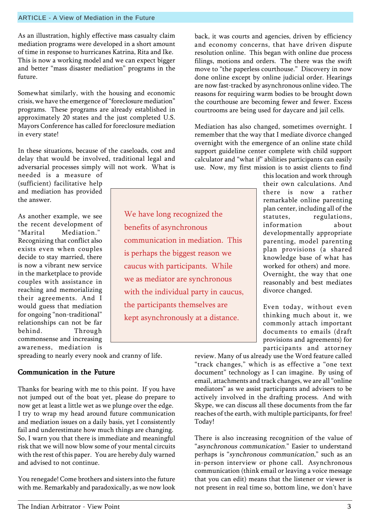#### ARTICLE - A View of Mediation in the Future

As an illustration, highly effective mass casualty claim mediation programs were developed in a short amount of time in response to hurricanes Katrina, Rita and Ike. This is now a working model and we can expect bigger and better "mass disaster mediation" programs in the future.

Somewhat similarly, with the housing and economic crisis, we have the emergence of "foreclosure mediation" programs. These programs are already established in approximately 20 states and the just completed U.S. Mayors Conference has called for foreclosure mediation in every state!

In these situations, because of the caseloads, cost and delay that would be involved, traditional legal and adversarial processes simply will not work. What is

needed is a measure of (sufficient) facilitative help and mediation has provided the answer.

As another example, we see the recent development of "Marital Mediation." Recognizing that conflict also exists even when couples decide to stay married, there is now a vibrant new service in the marketplace to provide couples with assistance in reaching and memorializing their agreements. And I would guess that mediation for ongoing "non-traditional" relationships can not be far behind. Through commonsense and increasing awareness, mediation is

We have long recognized the benefits of asynchronous communication in mediation. This is perhaps the biggest reason we caucus with participants. While we as mediator are synchronous with the individual party in caucus, the participants themselves are kept asynchronously at a distance.

back, it was courts and agencies, driven by efficiency and economy concerns, that have driven dispute resolution online. This began with online due process filings, motions and orders. The there was the swift move to "the paperless courthouse." Discovery in now done online except by online judicial order. Hearings are now fast-tracked by asynchronous online video. The reasons for requiring warm bodies to be brought down the courthouse are becoming fewer and fewer. Excess courtrooms are being used for daycare and jail cells.

Mediation has also changed, sometimes overnight. I remember that the way that I mediate divorce changed overnight with the emergence of an online state child support guideline center complete with child support calculator and "what if" abilities participants can easily use. Now, my first mission is to assist clients to find

this location and work through their own calculations. And there is now a rather remarkable online parenting plan center, including all of the statutes, regulations, information about developmentally appropriate parenting, model parenting plan provisions (a shared knowledge base of what has worked for others) and more. Overnight, the way that one reasonably and best mediates divorce changed.

Even today, without even thinking much about it, we commonly attach important documents to emails (draft provisions and agreements) for participants and attorney

spreading to nearly every nook and cranny of life.

#### Communication in the Future

Thanks for bearing with me to this point. If you have not jumped out of the boat yet, please do prepare to now get at least a little wet as we plunge over the edge. I try to wrap my head around future communication and mediation issues on a daily basis, yet I consistently fail and underestimate how much things are changing. So, I warn you that there is immediate and meaningful risk that we will now blow some of your mental circuits with the rest of this paper. You are hereby duly warned and advised to not continue.

You renegade! Come brothers and sisters into the future with me. Remarkably and paradoxically, as we now look review. Many of us already use the Word feature called "track changes," which is as effective a "one text document" technology as I can imagine. By using of email, attachments and track changes, we are all "online mediators" as we assist participants and advisers to be actively involved in the drafting process. And with Skype, we can discuss all these documents from the far reaches of the earth, with multiple participants, for free! Today!

There is also increasing recognition of the value of "asynchronous communication." Easier to understand perhaps is "synchronous communication," such as an in-person interview or phone call. Asynchronous communication (think email or leaving a voice message that you can edit) means that the listener or viewer is not present in real time so, bottom line, we don't have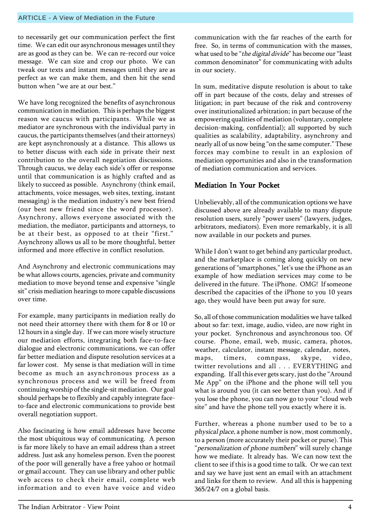to necessarily get our communication perfect the first time. We can edit our asynchronous messages until they are as good as they can be. We can re-record our voice message. We can size and crop our photo. We can tweak our texts and instant messages until they are as perfect as we can make them, and then hit the send button when "we are at our best."

We have long recognized the benefits of asynchronous communication in mediation. This is perhaps the biggest reason we caucus with participants. While we as mediator are synchronous with the individual party in caucus, the participants themselves (and their attorneys) are kept asynchronously at a distance. This allows us to better discuss with each side in private their next contribution to the overall negotiation discussions. Through caucus, we delay each side's offer or response until that communication is as highly crafted and as likely to succeed as possible. Asynchrony (think email, attachments, voice messages, web sites, texting, instant messaging) is the mediation industry's new best friend (our best new friend since the word processor). Asynchrony, allows everyone associated with the mediation, the mediator, participants and attorneys, to be at their best, as opposed to at their "first." Asynchrony allows us all to be more thoughtful, better informed and more effective in conflict resolution.

And Asynchrony and electronic communications may be what allows courts, agencies, private and community mediation to move beyond tense and expensive "single sit" crisis mediation hearings to more capable discussions over time.

For example, many participants in mediation really do not need their attorney there with them for 8 or 10 or 12 hours in a single day. If we can more wisely structure our mediation efforts, integrating both face-to-face dialogue and electronic communications, we can offer far better mediation and dispute resolution services at a far lower cost. My sense is that mediation will in time become as much an asynchronous process as a synchronous process and we will be freed from continuing worship of the single-sit mediation. Our goal should perhaps be to flexibly and capably integrate faceto-face and electronic communications to provide best overall negotiation support.

Also fascinating is how email addresses have become the most ubiquitous way of communicating. A person is far more likely to have an email address than a street address. Just ask any homeless person. Even the poorest of the poor will generally have a free yahoo or hotmail or gmail account. They can use library and other public web access to check their email, complete web information and to even have voice and video communication with the far reaches of the earth for free. So, in terms of communication with the masses, what used to be "the digital divide" has become our "least common denominator" for communicating with adults in our society.

In sum, meditative dispute resolution is about to take off in part because of the costs, delay and stresses of litigation; in part because of the risk and controversy over institutionalized arbitration; in part because of the empowering qualities of mediation (voluntary, complete decision-making, confidential); all supported by such qualities as scalability, adaptability, asynchrony and nearly all of us now being "on the same computer." These forces may combine to result in an explosion of mediation opportunities and also in the transformation of mediation communication and services.

#### Mediation In Your Pocket

Unbelievably, all of the communication options we have discussed above are already available to many dispute resolution users, surely "power users" (lawyers, judges, arbitrators, mediators). Even more remarkably, it is all now available in our pockets and purses.

While I don't want to get behind any particular product, and the marketplace is coming along quickly on new generations of "smartphones," let's use the iPhone as an example of how mediation services may come to be delivered in the future. The iPhone. OMG! If someone described the capacities of the iPhone to you 10 years ago, they would have been put away for sure.

So, all of those communication modalities we have talked about so far: text, image, audio, video, are now right in your pocket. Synchronous and asynchronous too. Of course. Phone, email, web, music, camera, photos, weather, calculator, instant message, calendar, notes, maps, timers, comnpass, skype, video, twitter revolutions and all . . . EVERYTHING and expanding. If all this ever gets scary, just do the "Around Me Appî on the iPhone and the phone will tell you what is around you (it can see better than you). And if you lose the phone, you can now go to your "cloud web site" and have the phone tell you exactly where it is.

Further, whereas a phone number used to be to a physical place, a phone number is now, most commonly, to a person (more accurately their pocket or purse). This "personalization of phone numbers" will surely change how we mediate. It already has. We can now text the client to see if this is a good time to talk. Or we can text and say we have just sent an email with an attachment and links for them to review. And all this is happening 365/24/7 on a global basis.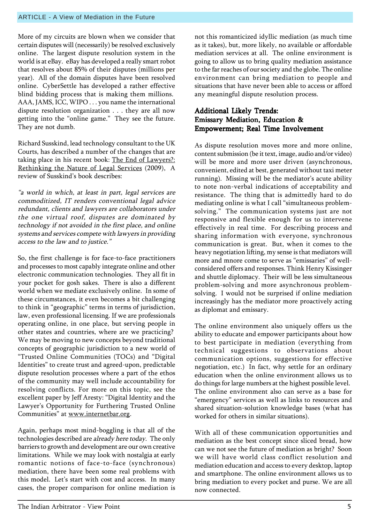More of my circuits are blown when we consider that certain disputes will (necessarily) be resolved exclusively online. The largest dispute resolution system in the world is at eBay. eBay has developed a really smart robot that resolves about 85% of their disputes (millions per year). All of the domain disputes have been resolved online. CyberSettle has developed a rather effective blind bidding process that is making them millions. AAA, JAMS, ICC, WIPO . . . you name the international dispute resolution organization . . . they are all now getting into the "online game." They see the future. They are not dumb.

Richard Susskind, lead technology consultant to the UK Courts, has described a number of the changes that are taking place in his recent book: The End of Lawyers?: Rethinking the Nature of Legal Services (2009), A review of Susskind's book describes:

ìa world in which, at least in part, legal services are commoditized, IT renders conventional legal advice redundant, clients and lawyers are collaborators under the one virtual roof, disputes are dominated by technology if not avoided in the first place, and online systems and services compete with lawyers in providing access to the law and to justice."

So, the first challenge is for face-to-face practitioners and processes to most capably integrate online and other electronic communication technologies. They all fit in your pocket for gosh sakes. There is also a different world when we mediate exclusively online. In some of these circumstances, it even becomes a bit challenging to think in "geographic" terms in terms of jurisdiction, law, even professional licensing. If we are professionals operating online, in one place, but serving people in other states and countries, where are we practicing? We may be moving to new concepts beyond traditional concepts of geographic jurisdiction to a new world of "Trusted Online Communities (TOCs) and "Digital Identities" to create trust and agreed-upon, predictable dispute resolution processes where a part of the ethos of the community may well include accountability for resolving conflicts. For more on this topic, see the excellent paper by Jeff Aresty: "Digital Identity and the Lawyer's Opportunity for Furthering Trusted Online Communities" at www.internetbar.org.

Again, perhaps most mind-boggling is that all of the technologies described are already here today. The only barriers to growth and development are our own creative limitations. While we may look with nostalgia at early romantic notions of face-to-face (synchronous) mediation, there have been some real problems with this model. Let's start with cost and access. In many cases, the proper comparison for online mediation is

not this romanticized idyllic mediation (as much time as it takes), but, more likely, no available or affordable mediation services at all. The online environment is going to allow us to bring quality mediation assistance to the far reaches of our society and the globe. The online environment can bring mediation to people and situations that have never been able to access or afford any meaningful dispute resolution process.

#### Additional Likely Trends: Emissary Mediation, Education & Empowerment; Real Time Involvement Empowerment; Real Time Involvement

As dispute resolution moves more and more online, content submission (be it text, image, audio and/or video) will be more and more user driven (asynchronous, convenient, edited at best, generated without taxi meter running). Missing will be the mediator's acute ability to note non-verbal indications of acceptability and resistance. The thing that is admittedly hard to do mediating online is what I call "simultaneous problemsolving." The communication systems just are not responsive and flexible enough for us to intervene effectively in real time. For describing process and sharing information with everyone, synchronous communication is great. But, when it comes to the heavy negotiation lifting, my sense is that mediators will more and mnore come to serve as "emissaries" of wellconsidered offers and responses. Think Henry Kissinger and shuttle diplomacy. Their will be less simultaneous problem-solving and more asynchronous problemsolving. I would not be surprised if online mediation increasingly has the mediator more proactively acting as diplomat and emissary.

The online environment also uniquely offers us the ability to educate and empower participants about how to best participate in mediation (everything from technical suggestions to observations about communication options, suggestions for effective negotiation, etc.) In fact, why settle for an ordinary education when the online environment allows us to do things for large numbers at the highest possible level. The online environment also can serve as a base for "emergency" services as well as links to resources and shared situation-solution knowledge bases (what has worked for others in similar situations).

With all of these communication opportunities and mediation as the best concept since sliced bread, how can we not see the future of mediation as bright? Soon we will have world class conflict resolution and mediation education and access to every desktop, laptop and smartphone. The online environment allows us to bring mediation to every pocket and purse. We are all now connected.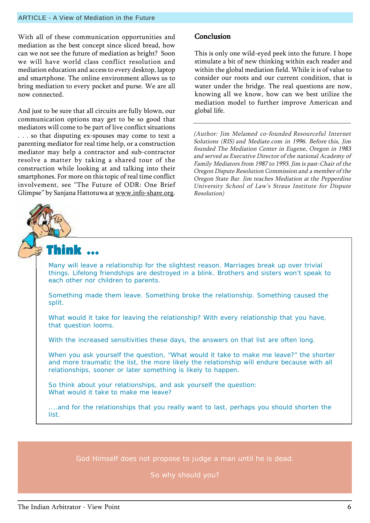With all of these communication opportunities and mediation as the best concept since sliced bread, how can we not see the future of mediation as bright? Soon we will have world class conflict resolution and mediation education and access to every desktop, laptop and smartphone. The online environment allows us to bring mediation to every pocket and purse. We are all now connected.

And just to be sure that all circuits are fully blown, our communication options may get to be so good that mediators will come to be part of live conflict situations . . . so that disputing ex-spouses may come to text a parenting mediator for real time help, or a construction mediator may help a contractor and sub-contractor resolve a matter by taking a shared tour of the construction while looking at and talking into their smartphones. For more on this topic of real time conflict involvement, see "The Future of ODR: One Brief Glimpse" by Sanjana Hattotuwa at www.info-share.org.

#### **Conclusion**

This is only one wild-eyed peek into the future. I hope stimulate a bit of new thinking within each reader and within the global mediation field. While it is of value to consider our roots and our current condition, that is water under the bridge. The real questions are now, knowing all we know, how can we best utilize the mediation model to further improve American and global life.

(Author: Jim Melamed co-founded Resourceful Internet Solutions (RIS) and Mediate.com in 1996. Before this, Jim founded The Mediation Center in Eugene, Oregon in 1983 and served as Executive Director of the national Academy of Family Mediators from 1987 to 1993. Jim is past-Chair of the Oregon Dispute Resolution Commission and a member of the Oregon State Bar. Jim teaches Mediation at the Pepperdine University School of Law's Straus Institute for Dispute Resolution)



Many will leave a relationship for the slightest reason. Marriages break up over trivial things. Lifelong friendships are destroyed in a blink. Brothers and sisters won't speak to each other nor children to parents.

Something made them leave. Something broke the relationship. Something caused the split.

What would it take for leaving the relationship? With every relationship that you have, that question looms.

With the increased sensitivities these days, the answers on that list are often long.

When you ask yourself the question, "What would it take to make me leave?" the shorter and more traumatic the list, the more likely the relationship will endure because with all relationships, sooner or later something is likely to happen.

So think about your relationships, and ask yourself the question: What would it take to make me leave?

....and for the relationships that you really want to last, perhaps you should shorten the list.

God Himself does not propose to judge a man until he is dead.

So why should you?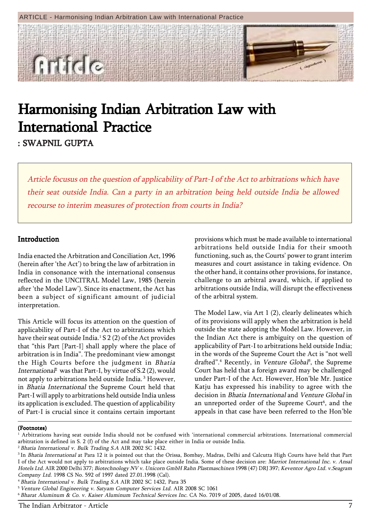#### ARTICLE - Harmonising Indian Arbitration Law with International Practice



## Harmonising Indian Arbitration Law with **International Practice**

: SWAPNIL GUPTA

Article focusus on the question of applicability of Part-I of the Act to arbitrations which have their seat outside India. Can a party in an arbitration being held outside India be allowed recourse to interim measures of protection from courts in India?

#### Introduction

India enacted the Arbitration and Conciliation Act, 1996 (herein after 'the Act') to bring the law of arbitration in India in consonance with the international consensus reflected in the UNCITRAL Model Law, 1985 (herein after 'the Model Law'). Since its enactment, the Act has been a subject of significant amount of judicial interpretation.

This Article will focus its attention on the question of applicability of Part-I of the Act to arbitrations which have their seat outside India. $^1$  S 2 (2) of the Act provides that "this Part [Part-I] shall apply where the place of arbitration is in Indiaî. The predominant view amongst the High Courts before the judgment in Bhatia Internationa $l^2$  was that Part-I, by virtue of S.2 (2), would not apply to arbitrations held outside India. 3 However, in Bhatia International the Supreme Court held that Part-I will apply to arbitrations held outside India unless its application is excluded. The question of applicability of Part-I is crucial since it contains certain important

provisions which must be made available to international arbitrations held outside India for their smooth functioning, such as, the Courts' power to grant interim measures and court assistance in taking evidence. On the other hand, it contains other provisions, for instance, challenge to an arbitral award, which, if applied to arbitrations outside India, will disrupt the effectiveness of the arbitral system.

The Model Law, via Art 1 (2), clearly delineates which of its provisions will apply when the arbitration is held outside the state adopting the Model Law. However, in the Indian Act there is ambiguity on the question of applicability of Part-I to arbitrations held outside India; in the words of the Supreme Court the Act is "not well drafted".<sup>4</sup> Recently, in Venture Global<sup>5</sup>, the Supreme Court has held that a foreign award may be challenged under Part-I of the Act. However, Hon'ble Mr. Justice Katju has expressed his inability to agree with the decision in Bhatia International and Venture Global in an unreported order of the Supreme Court<sup>6</sup>, and the appeals in that case have been referred to the Hon'ble

<sup>1</sup> Arbitrations having seat outside India should not be confused with ëinternational commercial arbitrations. International commercial arbitration is defined in S. 2 (f) of the Act and may take place either in India or outside India.

<sup>&</sup>lt;sup>2</sup> Bhatia International v. Bulk Trading S.A AIR 2002 SC 1432.

<sup>&</sup>lt;sup>3</sup> In Bhatia International at Para 12 it is pointed out that the Orissa, Bombay, Madras, Delhi and Calcutta High Courts have held that Part I of the Act would not apply to arbitrations which take place outside India. Some of these decision are: Marriot International Inc. v. Ansal Hotels Ltd. AIR 2000 Delhi 377; Biotechnology NV v. Unicorn GmbH Rahn Plastmaschinen 1998 (47) DRJ 397; Keventor Agro Ltd. v.Seagram Company Ltd. 1998 CS No. 592 of 1997 dated 27.01.1998 (Cal).

<sup>4</sup>Bhatia International v. Bulk Trading S.A AIR 2002 SC 1432, Para 35

<sup>&</sup>lt;sup>5</sup> Venture Global Engineering v. Satyam Computer Services Ltd. AIR 2008 SC 1061

<sup>6</sup> Bharat Aluminum & Co. v. Kaiser Aluminum Technical Services Inc. CA No. 7019 of 2005, dated 16/01/08.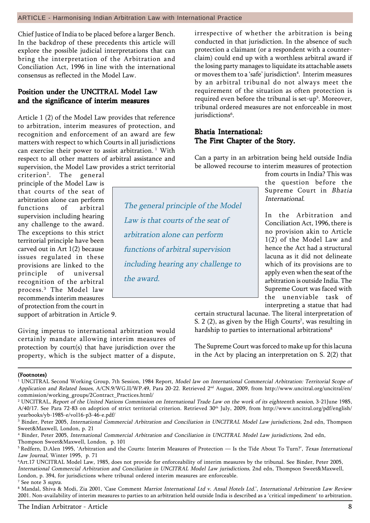Chief Justice of India to be placed before a larger Bench. In the backdrop of these precedents this article will explore the possible judicial interpretations that can bring the interpretation of the Arbitration and Conciliation Act, 1996 in line with the international consensus as reflected in the Model Law.

#### Position under the UNCITRAL Model Law and the significance of interim measures

Article 1 (2) of the Model Law provides that reference to arbitration, interim measures of protection, and recognition and enforcement of an award are few matters with respect to which Courts in all jurisdictions can exercise their power to assist arbitration.<sup>1</sup> With respect to all other matters of arbitral assistance and supervision, the Model Law provides a strict territorial

Giving impetus to international arbitration would certainly mandate allowing interim measures of protection by court(s) that have jurisdiction over the property, which is the subject matter of a dispute,

criterion<sup>2</sup>. . The general principle of the Model Law is that courts of the seat of arbitration alone can perform functions of arbitral supervision including hearing any challenge to the award. The exceptions to this strict territorial principle have been carved out in Art 1(2) because issues regulated in these provisions are linked to the principle of universal recognition of the arbitral process.3 The Model law recommends interim measures of protection from the court in support of arbitration in Article 9.

The general principle of the Model Law is that courts of the seat of arbitration alone can perform functions of arbitral supervision including hearing any challenge to the award.

irrespective of whether the arbitration is being conducted in that jurisdiction. In the absence of such protection a claimant (or a respondent with a counterclaim) could end up with a worthless arbitral award if the losing party manages to liquidate its attachable assets or moves them to a 'safe' jurisdiction<sup>4</sup>. Interim measures by an arbitral tribunal do not always meet the requirement of the situation as often protection is required even before the tribunal is set-up<sup>5</sup>. Moreover, tribunal ordered measures are not enforceable in most jurisdictions<sup>6</sup>.

#### Bhatia International: The First Chapter of the Story.

Can a party in an arbitration being held outside India be allowed recourse to interim measures of protection

> from courts in India? This was the question before the Supreme Court in Bhatia International.

> In the Arbitration and Conciliation Act, 1996, there is no provision akin to Article 1(2) of the Model Law and hence the Act had a structural lacuna as it did not delineate which of its provisions are to apply even when the seat of the arbitration is outside India. The Supreme Court was faced with the unenviable task of interpreting a statue that had

certain structural lacunae. The literal interpretation of S. 2  $(2)$ , as given by the High Courts<sup>7</sup>, was resulting in hardship to parties to international arbitrations<sup>8</sup>

The Supreme Court was forced to make up for this lacuna in the Act by placing an interpretation on S. 2(2) that

<sup>&</sup>lt;sup>1</sup> UNCITRAL Second Working Group, 7th Session, 1984 Report, Model law on International Commercial Arbitration: Territorial Scope of Application and Related Issues, A/CN.9/WG.II/WP.49, Para 20-22. Retrieved 2<sup>nd</sup> August, 2009, from http://www.uncitral.org/uncitral/en/ commission/working\_groups/2Contract\_Practices.html/

<sup>2</sup> UNCITRAL, Report of the United Nations Commission on International Trade Law on the work of its eighteenth session, 3-21June 1985, A/40/17. See Para 72-83 on adoption of strict territorial criterion. Retrieved 30<sup>th</sup> July, 2009, from http://www.uncitral.org/pdf/english/ yearbooks/yb-1985-e/vol16-p3-46-e.pdf/

 $^3$  Binder, Peter 2005, *International Commercial Arbitration and Conciliation in UNCITRAL Model Law jurisdictions,* 2nd edn, Thompson Sweet&Maxwell, London, p. 21

<sup>4</sup> Binder, Peter 2005, International Commercial Arbitration and Conciliation in UNCITRAL Model Law jurisdictions, 2nd edn, Thompson Sweet&Maxwell, London, p. 101

<sup>&</sup>lt;sup>5</sup> Redfern, D.Alen 1995, 'Arbitration and the Courts: Interim Measures of Protection — Is the Tide About To Turn?', Texas International Law Journal, Winter 1995, p. 71

<sup>6</sup> Art.17 UNCITRAL Model Law, 1985, does not provide for enforceability of interim measures by the tribunal. See Binder, Peter 2005, International Commercial Arbitration and Conciliation in UNCITRAL Model Law jurisdictions, 2nd edn, Thompson Sweet&Maxwell, London, p. 394, for jurisdictions where tribunal ordered interim measures are enforceable. <sup>7</sup> See note 3 supra.

 $^8$  Mandal, Shiva & Modi, Zia 2001, 'Case Comment *Marriot International Ltd v. Ansal Hotels Ltd.*', *International Arbitration Law Review* 2001. Non-availability of interim measures to parties to an arbitration held outside India is described as a 'critical impediment' to arbitration.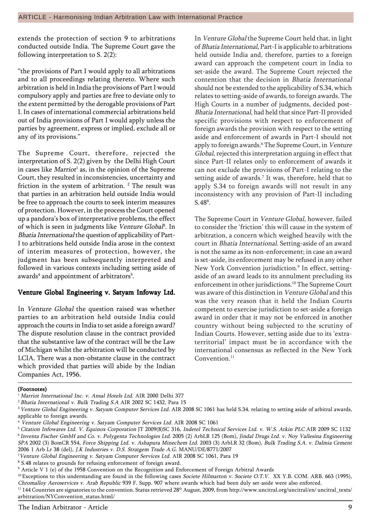extends the protection of section 9 to arbitrations conducted outside India. The Supreme Court gave the following interpretation to S. 2(2):

"the provisions of Part I would apply to all arbitrations and to all proceedings relating thereto. Where such arbitration is held in India the provisions of Part I would compulsory apply and parties are free to deviate only to the extent permitted by the derogable provisions of Part I. In cases of international commercial arbitrations held out of India provisions of Part I would apply unless the parties by agreement, express or implied, exclude all or any of its provisions."

The Supreme Court, therefore, rejected the interpretation of S. 2(2) given by the Delhi High Court in cases like *Marriot*' as, in the opinion of the Supreme Court, they resulted in inconsistencies, uncertainty and friction in the system of arbitration.  $2$  The result was that parties in an arbitration held outside India would be free to approach the courts to seek interim measures of protection. However, in the process the Court opened up a pandoraís box of interpretative problems, the effect of which is seen in judgments like Venture Global<sup>3</sup>. In Bhatia International the question of applicability of Part-I to arbitrations held outside India arose in the context of interim measures of protection, however, the judgment has been subsequently interpreted and followed in various contexts including setting aside of awards $^4$  and appointment of arbitrators $^5\!$ .

#### Venture Global Engineering v. Satyam Infoway Ltd.

In Venture Global the question raised was whether parties to an arbitration held outside India could approach the courts in India to set aside a foreign award? The dispute resolution clause in the contract provided that the substantive law of the contract will be the Law of Michigan whilst the arbitration will be conducted by LCIA. There was a non-obstante clause in the contract which provided that parties will abide by the Indian Companies Act, 1956.

In Venture Global the Supreme Court held that, in light of Bhatia International, Part-I is applicable to arbitrations held outside India and, therefore, parties to a foreign award can approach the competent court in India to set-aside the award. The Supreme Court rejected the contention that the decision in Bhatia International should not be extended to the applicability of S.34, which relates to setting-aside of awards, to foreign awards. The High Courts in a number of judgments, decided post-Bhatia International, had held that since Part-II provided specific provisions with respect to enforcement of foreign awards the provision with respect to the setting aside and enforcement of awards in Part-I should not apply to foreign awards.<sup>6</sup> The Supreme Court, in Venture Global, rejected this interpretation arguing in effect that since Part-II relates only to enforcement of awards it can not exclude the provisions of Part-I relating to the setting aside of awards.<sup>7</sup> It was, therefore, held that to apply S.34 to foreign awards will not result in any inconsistency with any provision of Part-II including  $S.48^8$ .

The Supreme Court in Venture Global, however, failed to consider the 'friction' this will cause in the system of arbitration, a concern which weighed heavily with the court in Bhatia International. Setting-aside of an award is not the same as its non-enforcement; in case an award is set-aside, its enforcement may be refused in any other New York Convention jurisdiction.<sup>9</sup> In effect, settingaside of an award leads to its annulment precluding its enforcement in other jurisdictions.10 The Supreme Court was aware of this distinction in Venture Global and this was the very reason that it held the Indian Courts competent to exercise jurisdiction to set-aside a foreign award in order that it may not be enforced in another country without being subjected to the scrutiny of Indian Courts. However, setting aside due to its ëextraterritorial' impact must be in accordance with the international consensus as reflected in the New York Convention<sup>11</sup>

<sup>&</sup>lt;sup>1</sup> Marriot International Inc. v. Ansal Hotels Ltd. AIR 2000 Delhi 377

<sup>&</sup>lt;sup>2</sup> Bhatia International v. Bulk Trading S.A AIR 2002 SC 1432, Para 15

<sup>&</sup>lt;sup>3</sup> Venture Global Engineering v. Satyam Computer Services Ltd. AIR 2008 SC 1061 has held S.34, relating to setting aside of arbitral awards, applicable to foreign awards.

<sup>4</sup> Venture Global Engineering v. Satyam Computer Services Ltd. AIR 2008 SC 1061

<sup>5</sup>Citation Infowares Ltd. V. Equinox Corporation JT 2009(8)SC 316, Indetel Technical Services Ltd. v. W.S. Atkin PLC AIR 2009 SC 1132 <sup>6</sup>Inventa Fischer GmbH and Co. v. Polygenta Technologies Ltd. 2005 (2) ArbLR 125 (Bom), Jindal Drugs Ltd. v. Noy Vallesina Engineering SPA 2002 (3) BomCR 554, Force Shipping Ltd. v. Ashapura Minechem Ltd. 2003 (3) ArbLR 32 (Bom), Bulk Trading S.A. v. Dalmia Cement 2006 1 Arb Lr 38 (del), J.K Industries v. D.S. Stratgem Trade A.G. MANU/DE/8771/2007

<sup>7</sup> Venture Global Engineering v. Satyam Computer Services Ltd. AIR 2008 SC 1061, Para 19

<sup>&</sup>lt;sup>8</sup> S.48 relates to grounds for refusing enforcement of foreign award.

<sup>9</sup> Article V 1 (e) of the 1958 Convention on the Recognition and Enforcement of Foreign Arbitral Awards

<sup>&</sup>lt;sup>10</sup> Exceptions to this understanding are found in the following cases Societe Hilmarton v. Societe O.T.V. XX Y.B. COM. ARB. 663 (1995), Chromalloy Aeroservices v. Arab Republic 939 F. Supp. 907 where awards which had been duly set-aside were also enforced.

<sup>&</sup>lt;sup>11</sup> 144 Countries are signatories to the convention. Status retrieved 28<sup>th</sup> August, 2009, from http://www.uncitral.org/uncitral/en/ uncitral\_texts/ arbitration/NYConvention\_status.html/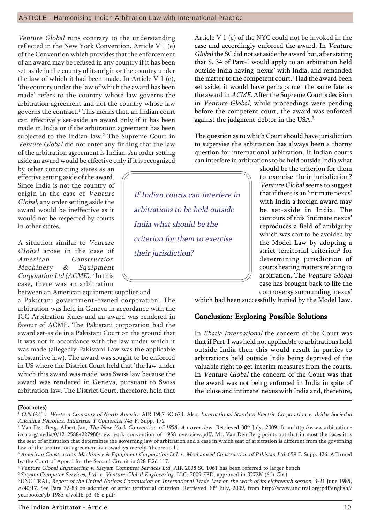Venture Global runs contrary to the understanding reflected in the New York Convention. Article V 1 (e) of the Convention which provides that the enforcement of an award may be refused in any country if it has been set-aside in the county of its origin or the country under the law of which it had been made. In Article V 1 (e), ëthe country under the law of which the award has been made' refers to the country whose law governs the arbitration agreement and not the country whose law governs the contract.<sup>1</sup> This means that, an Indian court can effectively set-aside an award only if it has been made in India or if the arbitration agreement has been subjected to the Indian law.<sup>2</sup> The Supreme Court in Venture Global did not enter any finding that the law of the arbitration agreement is Indian. An order setting aside an award would be effective only if it is recognized

by other contracting states as an effective setting aside of the award. Since India is not the country of origin in the case of Venture Global, any order setting aside the award would be ineffective as it would not be respected by courts in other states.

A situation similar to Venture Global arose in the case of American Construction Machinery & Equipment Corporation Ltd (ACME).<sup>3</sup> In this case, there was an arbitration

between an American equipment supplier and a Pakistani government-owned corporation. The arbitration was held in Geneva in accordance with the ICC Arbitration Rules and an award was rendered in favour of ACME. The Pakistani corporation had the award set-aside in a Pakistani Court on the ground that it was not in accordance with the law under which it was made (allegedly Pakistani Law was the applicable substantive law). The award was sought to be enforced in US where the District Court held that 'the law under which this award was made' was Swiss law because the award was rendered in Geneva, pursuant to Swiss arbitration law. The District Court, therefore, held that

Article V 1 (e) of the NYC could not be invoked in the case and accordingly enforced the award. In Venture Global the SC did not set aside the award but, after stating that S. 34 of Part-I would apply to an arbitration held outside India having 'nexus' with India, and remanded the matter to the competent court. $^1$  Had the award been set aside, it would have perhaps met the same fate as the award in ACME. After the Supreme Court's decision in Venture Global, while proceedings were pending before the competent court, the award was enforced against the judgment-debtor in the USA.<sup>2</sup>

The question as to which Court should have jurisdiction to supervise the arbitration has always been a thorny question for international arbitration. If Indian courts can interfere in arbitrations to be held outside India what

> should be the criterion for them to exercise their jurisdiction? Venture Global seems to suggest that if there is an 'intimate nexus' with India a foreign award may be set-aside in India. The contours of this 'intimate nexus' reproduces a field of ambiguity which was sort to be avoided by the Model Law by adopting a strict territorial criterion<sup>3</sup> for determining jurisdiction of courts hearing matters relating to arbitration. The Venture Global case has brought back to life the controversy surrounding 'nexus'

which had been successfully buried by the Model Law.

#### Conclusion: Exploring Possible Solutions

In Bhatia International the concern of the Court was that if Part-I was held not applicable to arbitrations held outside India then this would result in parties to arbitrations held outside India being deprived of the valuable right to get interim measures from the courts. In Venture Global the concern of the Court was that the award was not being enforced in India in spite of the 'close and intimate' nexus with India and, therefore,

#### (Footnotes)

<sup>5</sup> Satyam Computer Services, Ltd. v. Venture Global Engineering, LLC. 2009 FED, approved in 0273N (6th Cir.)

6 UNCITRAL, Report of the United Nations Commission on International Trade Law on the work of its eighteenth session, 3-21 June 1985, A/40/17. See Para 72-83 on adoption of strict territorial criterion. Retrieved 30<sup>th</sup> July, 2009, from http://www.uncitral.org/pdf/english// yearbooks/yb-1985-e/vol16-p3-46-e.pdf/

If Indian courts can interfere in arbitrations to be held outside India what should be the criterion for them to exercise their jurisdiction?

<sup>1</sup> O.N.G.C v. Western Company of North America AIR 1987 SC 674. Also, International Standard Electric Corporation v. Bridas Sociedad Anonima Petrolera, Industrial Y Comercial 745 F. Supp. 172

 $^2$  Van Den Berg, Albert Jan, *The New York Convention of 1958: An overview*. Retrieved 30<sup>th</sup> July, 2009, from http://www.arbitrationicca.org/media/0/12125884227980/new\_york\_convention\_of\_1958\_overview.pdf/. Mr. Van Den Berg points out that in most the cases it is the seat of arbitration that determines the governing law of arbitration and a case in which seat of arbitration is different from the governing law of the arbitration agreement is nowadays merely 'theoretical'.

<sup>&</sup>lt;sup>3</sup> American Construction Machinery & Equipment Corporation Ltd. v. Mechanised Construction of Pakistan Ltd. 659 F. Supp. 426. Affirmed by the Court of Appeal for the Second Circuit in 828 F.2d 117.

<sup>&</sup>lt;sup>4</sup> Venture Global Engineering v. Satyam Computer Services Ltd. AIR 2008 SC 1061 has been referred to larger bench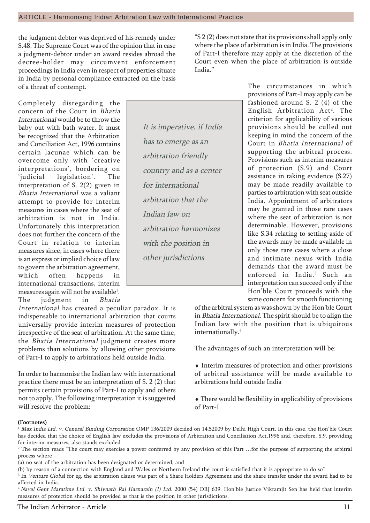the judgment debtor was deprived of his remedy under S.48. The Supreme Court was of the opinion that in case a judgment-debtor under an award resides abroad the decree-holder may circumvent enforcement proceedings in India even in respect of properties situate in India by personal compliance extracted on the basis of a threat of contempt.

Completely disregarding the concern of the Court in Bhatia International would be to throw the baby out with bath water. It must be recognized that the Arbitration and Conciliation Act, 1996 contains certain lacunae which can be overcome only with 'creative interpretations', bordering on 'judicial legislation'. The interpretation of S. 2(2) given in Bhatia International was a valiant attempt to provide for interim measures in cases where the seat of arbitration is not in India. Unfortunately this interpretation does not further the concern of the Court in relation to interim measures since, in cases where there is an express or implied choice of law to govern the arbitration agreement, which often happens in international transactions, interim measures again will not be available $^{\rm l}$ . The judgment in Bhatia

International has created a peculiar paradox. It is indispensable to international arbitration that courts universally provide interim measures of protection irrespective of the seat of arbitration. At the same time, the Bhatia International judgment creates more problems than solutions by allowing other provisions of Part-I to apply to arbitrations held outside India.

In order to harmonise the Indian law with international practice there must be an interpretation of S. 2 (2) that permits certain provisions of Part-I to apply and others not to apply. The following interpretation it is suggested will resolve the problem:

It is imperative, if India has to emerge as an arbitration friendly country and as a center for international arbitration that the Indian law on arbitration harmonizes with the position in other jurisdictions

"S 2 (2) does not state that its provisions shall apply only where the place of arbitration is in India. The provisions of Part-I therefore may apply at the discretion of the Court even when the place of arbitration is outside India."

> The circumstances in which provisions of Part-I may apply can be fashioned around S. 2 (4) of the English Arbitration Act<sup>2</sup>. The criterion for applicability of various provisions should be culled out keeping in mind the concern of the Court in Bhatia International of supporting the arbitral process. Provisions such as interim measures of protection (S.9) and Court assistance in taking evidence (S.27) may be made readily available to parties to arbitration with seat outside India. Appointment of arbitrators may be granted in those rare cases where the seat of arbitration is not determinable. However, provisions like S.34 relating to setting-aside of the awards may be made available in only those rare cases where a close and intimate nexus with India demands that the award must be enforced in India.3 Such an interpretation can succeed only if the Honíble Court proceeds with the same concern for smooth functioning

of the arbitral system as was shown by the Hon'ble Court in Bhatia International. The spirit should be to align the Indian law with the position that is ubiquitous internationally.4

The advantages of such an interpretation will be:

♦ Interim measures of protection and other provisions of arbitral assistance will be made available to arbitrations held outside India

♦ There would be flexibility in applicability of provisions of Part-I

- (a) no seat of the arbitration has been designated or determined, and
- (b) by reason of a connection with England and Wales or Northern Ireland the court is satisfied that it is appropriate to do soî
- $^3$  In *Venture Globa*l for eg. the arbitration clause was part of a Share Holders Agreement and the share transfer under the award had to be affected in India.

Max India Ltd. v. General Binding Corporation OMP 136/2009 decided on 14.52009 by Delhi High Court. In this case, the Hon'ble Court has decided that the choice of English law excludes the provisions of Arbitration and Conciliation Act,1996 and, therefore, S.9, providing for interim measures, also stands excluded

 $^2$  The section reads "The court may exercise a power conferred by any provision of this Part …for the purpose of supporting the arbitral process where -

<sup>&</sup>lt;sup>4</sup> Naval Gent Maratime Ltd. v. Shivnath Rai Harnarain (I) Ltd. 2000 (54) DRJ 639. Hon'ble Justice Vikramjit Sen has held that interim measures of protection should be provided as that is the position in other jurisdictions.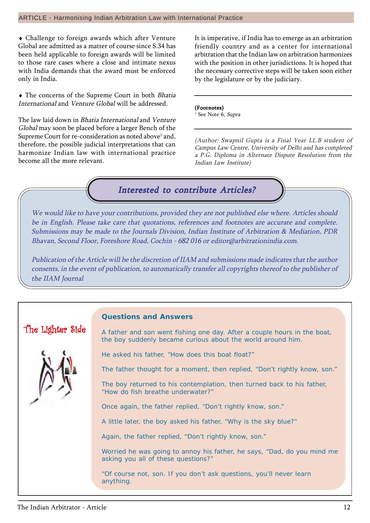#### ARTICLE - Harmonising Indian Arbitration Law with International Practice

♦ Challenge to foreign awards which after Venture Global are admitted as a matter of course since S.34 has been held applicable to foreign awards will be limited to those rare cases where a close and intimate nexus with India demands that the award must be enforced only in India.

♦ The concerns of the Supreme Court in both Bhatia International and Venture Global will be addressed.

The law laid down in Bhatia International and Venture Global may soon be placed before a larger Bench of the Supreme Court for re-consideration as noted above $^{\rm l}$  and, therefore, the possible judicial interpretations that can harmonize Indian law with international practice become all the more relevant.

It is imperative, if India has to emerge as an arbitration friendly country and as a center for international arbitration that the Indian law on arbitration harmonizes with the position in other jurisdictions. It is hoped that the necessary corrective steps will be taken soon either by the legislature or by the judiciary.

#### (Footnotes)

<sup>1</sup> See Note 6, *Supra* 

(Author: Swapnil Gupta is a Final Year LL.B student of Campus Law Centre, University of Delhi and has completed a P.G. Diploma in Alternate Dispute Resolution from the Indian Law Institute)

### Interested to contribute Articles?

We would like to have your contributions, provided they are not published else where. Articles should be in English. Please take care that quotations, references and footnotes are accurate and complete. Submissions may be made to the Journals Division, Indian Institute of Arbitration & Mediation, PDR Bhavan, Second Floor, Foreshore Road, Cochin - 682 016 or editor@arbitrationindia.com.

Publication of the Article will be the discretion of IIAM and submissions made indicates that the author consents, in the event of publication, to automatically transfer all copyrights thereof to the publisher of the IIAM Journal

#### **Questions and Answers**

A father and son went fishing one day. After a couple hours in the boat, the boy suddenly became curious about the world around him.

He asked his father, "How does this boat float?"

The father thought for a moment, then replied, "Don't rightly know, son."

The boy returned to his contemplation, then turned back to his father, "How do fish breathe underwater?"

Once again, the father replied, "Don't rightly know, son."

A little later, the boy asked his father, "Why is the sky blue?"

Again, the father replied, "Don't rightly know, son."

Worried he was going to annoy his father, he says, "Dad, do you mind me asking you all of these questions?"

"Of course not, son. If you don't ask questions, you'll never learn anything.

The Lighter Side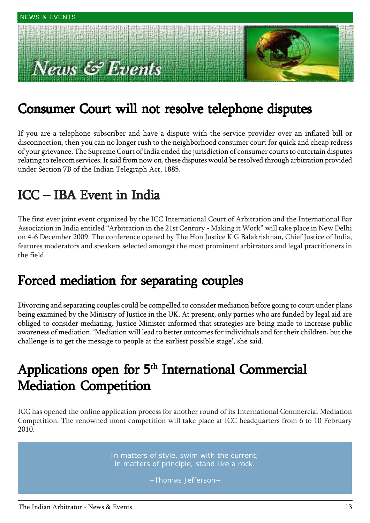# $s \mathcal{L}$  Events



## Consumer Court will not resolve telephone disputes

If you are a telephone subscriber and have a dispute with the service provider over an inflated bill or disconnection, then you can no longer rush to the neighborhood consumer court for quick and cheap redress of your grievance. The Supreme Court of India ended the jurisdiction of consumer courts to entertain disputes relating to telecom services. It said from now on, these disputes would be resolved through arbitration provided under Section 7B of the Indian Telegraph Act, 1885.

### $ICC - IBA$  Event in India

The first ever joint event organized by the ICC International Court of Arbitration and the International Bar Association in India entitled "Arbitration in the 21st Century - Making it Work" will take place in New Delhi on 4-6 December 2009. The conference opened by The Hon Justice K G Balakrishnan, Chief Justice of India, features moderators and speakers selected amongst the most prominent arbitrators and legal practitioners in the field.

### Forced mediation for separating couples Forced mediation for separating couples

Divorcing and separating couples could be compelled to consider mediation before going to court under plans being examined by the Ministry of Justice in the UK. At present, only parties who are funded by legal aid are obliged to consider mediating. Justice Minister informed that strategies are being made to increase public awareness of mediation. 'Mediation will lead to better outcomes for individuals and for their children, but the challenge is to get the message to people at the earliest possible stage', she said.

## Applications open for 5<sup>th</sup> International Commercial **Mediation Competition**

ICC has opened the online application process for another round of its International Commercial Mediation Competition. The renowned moot competition will take place at ICC headquarters from 6 to 10 February 2010.

> In matters of style, swim with the current; in matters of principle, stand like a rock.

> > ~Thomas Jefferson~